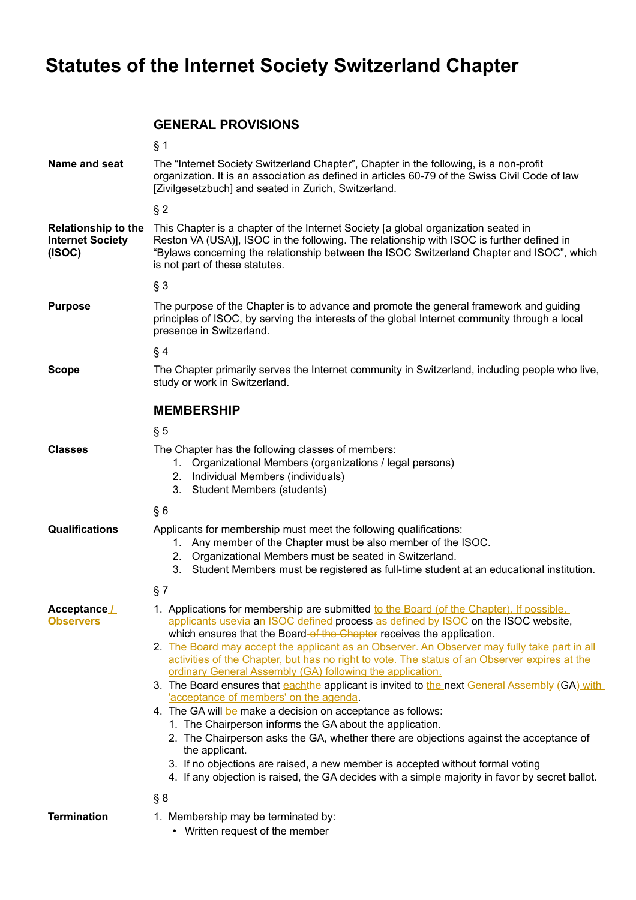# **Statutes of the Internet Society Switzerland Chapter**

### <span id="page-0-0"></span>**GENERAL PROVISIONS**

|                                                                 | § 1                                                                                                                                                                                                                                                                                                                                                                                                                                                                                                                                                                                                                                                                                                                                                                                                                                                                                                                                                                                                                                                                                                |  |
|-----------------------------------------------------------------|----------------------------------------------------------------------------------------------------------------------------------------------------------------------------------------------------------------------------------------------------------------------------------------------------------------------------------------------------------------------------------------------------------------------------------------------------------------------------------------------------------------------------------------------------------------------------------------------------------------------------------------------------------------------------------------------------------------------------------------------------------------------------------------------------------------------------------------------------------------------------------------------------------------------------------------------------------------------------------------------------------------------------------------------------------------------------------------------------|--|
| Name and seat                                                   | The "Internet Society Switzerland Chapter", Chapter in the following, is a non-profit<br>organization. It is an association as defined in articles 60-79 of the Swiss Civil Code of law<br>[Zivilgesetzbuch] and seated in Zurich, Switzerland.                                                                                                                                                                                                                                                                                                                                                                                                                                                                                                                                                                                                                                                                                                                                                                                                                                                    |  |
|                                                                 | $§$ 2                                                                                                                                                                                                                                                                                                                                                                                                                                                                                                                                                                                                                                                                                                                                                                                                                                                                                                                                                                                                                                                                                              |  |
| <b>Relationship to the</b><br><b>Internet Society</b><br>(ISOC) | This Chapter is a chapter of the Internet Society [a global organization seated in<br>Reston VA (USA)], ISOC in the following. The relationship with ISOC is further defined in<br>"Bylaws concerning the relationship between the ISOC Switzerland Chapter and ISOC", which<br>is not part of these statutes.                                                                                                                                                                                                                                                                                                                                                                                                                                                                                                                                                                                                                                                                                                                                                                                     |  |
|                                                                 | $§$ 3                                                                                                                                                                                                                                                                                                                                                                                                                                                                                                                                                                                                                                                                                                                                                                                                                                                                                                                                                                                                                                                                                              |  |
| <b>Purpose</b>                                                  | The purpose of the Chapter is to advance and promote the general framework and guiding<br>principles of ISOC, by serving the interests of the global Internet community through a local<br>presence in Switzerland.                                                                                                                                                                                                                                                                                                                                                                                                                                                                                                                                                                                                                                                                                                                                                                                                                                                                                |  |
|                                                                 | § 4                                                                                                                                                                                                                                                                                                                                                                                                                                                                                                                                                                                                                                                                                                                                                                                                                                                                                                                                                                                                                                                                                                |  |
| <b>Scope</b>                                                    | The Chapter primarily serves the Internet community in Switzerland, including people who live,<br>study or work in Switzerland.                                                                                                                                                                                                                                                                                                                                                                                                                                                                                                                                                                                                                                                                                                                                                                                                                                                                                                                                                                    |  |
|                                                                 | <b>MEMBERSHIP</b>                                                                                                                                                                                                                                                                                                                                                                                                                                                                                                                                                                                                                                                                                                                                                                                                                                                                                                                                                                                                                                                                                  |  |
|                                                                 | $\S5$                                                                                                                                                                                                                                                                                                                                                                                                                                                                                                                                                                                                                                                                                                                                                                                                                                                                                                                                                                                                                                                                                              |  |
| <b>Classes</b>                                                  | The Chapter has the following classes of members:<br>1. Organizational Members (organizations / legal persons)<br>Individual Members (individuals)<br>2.<br><b>Student Members (students)</b><br>3.                                                                                                                                                                                                                                                                                                                                                                                                                                                                                                                                                                                                                                                                                                                                                                                                                                                                                                |  |
|                                                                 | §6                                                                                                                                                                                                                                                                                                                                                                                                                                                                                                                                                                                                                                                                                                                                                                                                                                                                                                                                                                                                                                                                                                 |  |
| <b>Qualifications</b>                                           | Applicants for membership must meet the following qualifications:<br>1. Any member of the Chapter must be also member of the ISOC.<br>2.<br>Organizational Members must be seated in Switzerland.<br>3.<br>Student Members must be registered as full-time student at an educational institution.                                                                                                                                                                                                                                                                                                                                                                                                                                                                                                                                                                                                                                                                                                                                                                                                  |  |
|                                                                 | § 7                                                                                                                                                                                                                                                                                                                                                                                                                                                                                                                                                                                                                                                                                                                                                                                                                                                                                                                                                                                                                                                                                                |  |
| Acceptance /<br><b>Observers</b>                                | 1. Applications for membership are submitted to the Board (of the Chapter). If possible,<br>applicants usevia an ISOC defined process as defined by ISOC on the ISOC website,<br>which ensures that the Board of the Chapter receives the application.<br>2. The Board may accept the applicant as an Observer. An Observer may fully take part in all<br>activities of the Chapter, but has no right to vote. The status of an Observer expires at the<br>ordinary General Assembly (GA) following the application.<br>3. The Board ensures that eachthe applicant is invited to the next General Assembly (GA) with<br>'acceptance of members' on the agenda.<br>4. The GA will be make a decision on acceptance as follows:<br>1. The Chairperson informs the GA about the application.<br>2. The Chairperson asks the GA, whether there are objections against the acceptance of<br>the applicant.<br>3. If no objections are raised, a new member is accepted without formal voting<br>4. If any objection is raised, the GA decides with a simple majority in favor by secret ballot.<br>§ 8 |  |
| <b>Termination</b>                                              | 1. Membership may be terminated by:<br>• Written request of the member                                                                                                                                                                                                                                                                                                                                                                                                                                                                                                                                                                                                                                                                                                                                                                                                                                                                                                                                                                                                                             |  |
|                                                                 |                                                                                                                                                                                                                                                                                                                                                                                                                                                                                                                                                                                                                                                                                                                                                                                                                                                                                                                                                                                                                                                                                                    |  |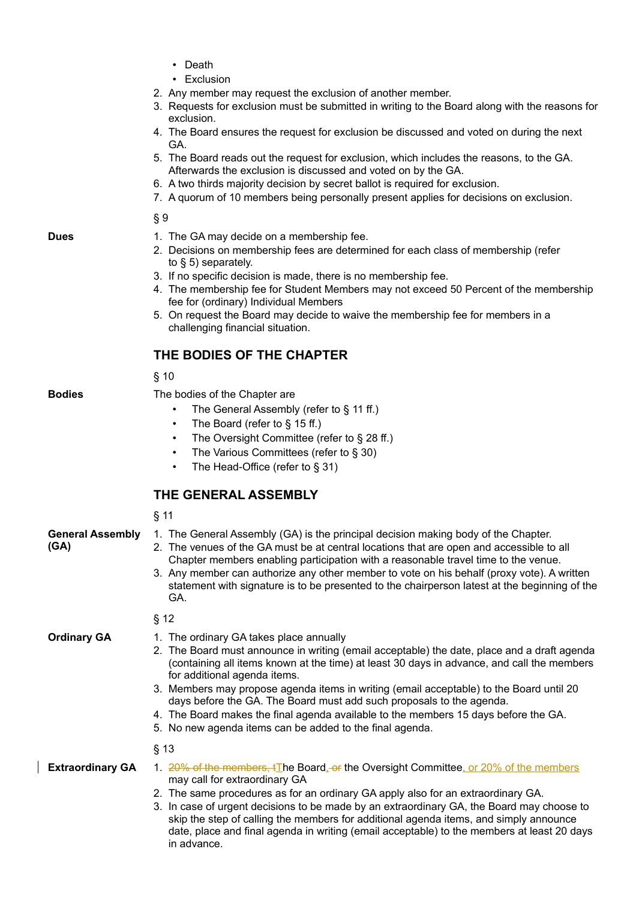- Death
- Exclusion
- 2. Any member may request the exclusion of another member.
- 3. Requests for exclusion must be submitted in writing to the Board along with the reasons for exclusion.
- 4. The Board ensures the request for exclusion be discussed and voted on during the next GA.
- 5. The Board reads out the request for exclusion, which includes the reasons, to the GA. Afterwards the exclusion is discussed and voted on by the GA.
- 6. A two thirds majority decision by secret ballot is required for exclusion.
- 7. A quorum of 10 members being personally present applies for decisions on exclusion.

§ 9

- 1. The GA may decide on a membership fee.
- 2. Decisions on membership fees are determined for each class of membership (refer to [§ 5\)](#page-0-0) separately.
- 3. If no specific decision is made, there is no membership fee.
- 4. The membership fee for Student Members may not exceed 50 Percent of the membership fee for (ordinary) Individual Members
- 5. On request the Board may decide to waive the membership fee for members in a challenging financial situation.

### **THE BODIES OF THE CHAPTER**

§ 10

#### **Bodies** The bodies of the Chapter are

- The General Assembly (refer to [§ 11](#page-1-0) ff.)
- The Board (refer to  $\S$  15 ff.)
- The Oversight Committee (refer to [§ 28](#page-4-2) ff.)
- The Various Committees (refer to [§ 30\)](#page-4-1)
- The Head-Office (refer to [§ 31\)](#page-4-0)

### <span id="page-1-0"></span>**THE GENERAL ASSEMBLY**

|                                 | $§$ 11                                                                                                                                                                                                                                                                                                                                                                                                                                                                                                                                                                                     |
|---------------------------------|--------------------------------------------------------------------------------------------------------------------------------------------------------------------------------------------------------------------------------------------------------------------------------------------------------------------------------------------------------------------------------------------------------------------------------------------------------------------------------------------------------------------------------------------------------------------------------------------|
| <b>General Assembly</b><br>(GA) | 1. The General Assembly (GA) is the principal decision making body of the Chapter.<br>2. The venues of the GA must be at central locations that are open and accessible to all<br>Chapter members enabling participation with a reasonable travel time to the venue.<br>3. Any member can authorize any other member to vote on his behalf (proxy vote). A written<br>statement with signature is to be presented to the chairperson latest at the beginning of the<br>GA.                                                                                                                 |
|                                 | § 12                                                                                                                                                                                                                                                                                                                                                                                                                                                                                                                                                                                       |
| <b>Ordinary GA</b>              | 1. The ordinary GA takes place annually<br>2. The Board must announce in writing (email acceptable) the date, place and a draft agenda<br>(containing all items known at the time) at least 30 days in advance, and call the members<br>for additional agenda items.<br>3. Members may propose agenda items in writing (email acceptable) to the Board until 20<br>days before the GA. The Board must add such proposals to the agenda.<br>4. The Board makes the final agenda available to the members 15 days before the GA.<br>5. No new agenda items can be added to the final agenda. |
|                                 | $§$ 13                                                                                                                                                                                                                                                                                                                                                                                                                                                                                                                                                                                     |
| <b>Extraordinary GA</b>         | 1. 20% of the members, tThe Board, or the Oversight Committee, or 20% of the members<br>may call for extraordinary GA<br>2. The same procedures as for an ordinary GA apply also for an extraordinary GA.<br>3. In case of urgent decisions to be made by an extraordinary GA, the Board may choose to<br>skip the step of calling the members for additional agenda items, and simply announce<br>date, place and final agenda in writing (email acceptable) to the members at least 20 days<br>in advance.                                                                               |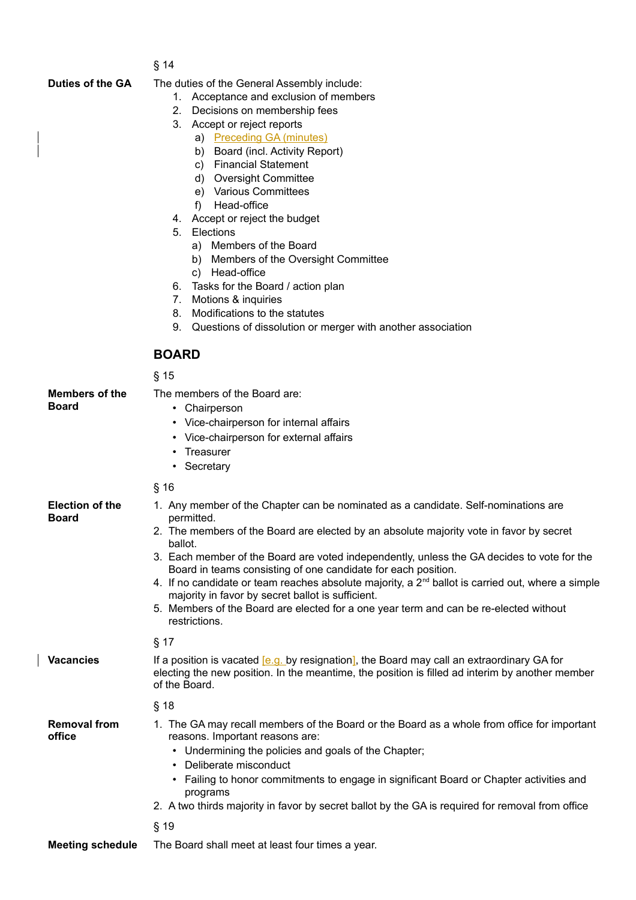| ×<br>۰, |  |  |  |
|---------|--|--|--|
|---------|--|--|--|

 $\overline{\phantom{a}}$ 

**Duties of the GA** The duties of the General Assembly include:

- 1. Acceptance and exclusion of members
- 2. Decisions on membership fees
- 3. Accept or reject reports
	- a) Preceding GA (minutes)
	- b) Board (incl. Activity Report)
	- c) Financial Statement
	- d) Oversight Committee
	- e) Various Committees
	- f) Head-office
- 4. Accept or reject the budget
- 5. Elections
	- a) Members of the Board
	- b) Members of the Oversight Committee
	- c) Head-office
- 6. Tasks for the Board / action plan
- 7. Motions & inquiries
- 8. Modifications to the statutes
- 9. Questions of dissolution or merger with another association

#### **BOARD**

<span id="page-2-0"></span> $$15$ 

|                                        | טו א                                                                                                                                                                                                                                                                                                                                                                                                                                                                                                                                                                                                                                        |
|----------------------------------------|---------------------------------------------------------------------------------------------------------------------------------------------------------------------------------------------------------------------------------------------------------------------------------------------------------------------------------------------------------------------------------------------------------------------------------------------------------------------------------------------------------------------------------------------------------------------------------------------------------------------------------------------|
| <b>Members of the</b><br><b>Board</b>  | The members of the Board are:<br>• Chairperson<br>• Vice-chairperson for internal affairs<br>• Vice-chairperson for external affairs<br>Treasurer<br>$\bullet$<br>Secretary<br>$\bullet$                                                                                                                                                                                                                                                                                                                                                                                                                                                    |
|                                        | $§$ 16                                                                                                                                                                                                                                                                                                                                                                                                                                                                                                                                                                                                                                      |
| <b>Election of the</b><br><b>Board</b> | 1. Any member of the Chapter can be nominated as a candidate. Self-nominations are<br>permitted.<br>2. The members of the Board are elected by an absolute majority vote in favor by secret<br>ballot.<br>3. Each member of the Board are voted independently, unless the GA decides to vote for the<br>Board in teams consisting of one candidate for each position.<br>4. If no candidate or team reaches absolute majority, a $2nd$ ballot is carried out, where a simple<br>majority in favor by secret ballot is sufficient.<br>5. Members of the Board are elected for a one year term and can be re-elected without<br>restrictions. |
|                                        | $§$ 17                                                                                                                                                                                                                                                                                                                                                                                                                                                                                                                                                                                                                                      |
| <b>Vacancies</b>                       | If a position is vacated [e.g. by resignation], the Board may call an extraordinary GA for<br>electing the new position. In the meantime, the position is filled ad interim by another member<br>of the Board.                                                                                                                                                                                                                                                                                                                                                                                                                              |
|                                        | § 18                                                                                                                                                                                                                                                                                                                                                                                                                                                                                                                                                                                                                                        |
| <b>Removal from</b><br>office          | 1. The GA may recall members of the Board or the Board as a whole from office for important<br>reasons. Important reasons are:<br>Undermining the policies and goals of the Chapter;<br>٠<br>Deliberate misconduct<br>$\bullet$<br>• Failing to honor commitments to engage in significant Board or Chapter activities and<br>programs<br>2. A two thirds majority in favor by secret ballot by the GA is required for removal from office<br>$§$ 19                                                                                                                                                                                        |
| <b>Meeting schedule</b>                | The Board shall meet at least four times a year.                                                                                                                                                                                                                                                                                                                                                                                                                                                                                                                                                                                            |
|                                        |                                                                                                                                                                                                                                                                                                                                                                                                                                                                                                                                                                                                                                             |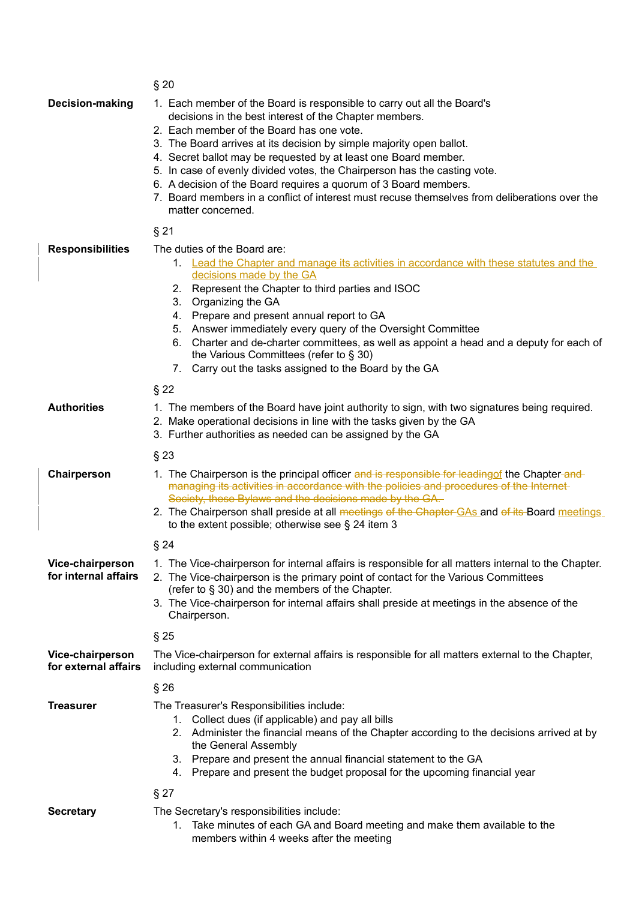<span id="page-3-1"></span><span id="page-3-0"></span>

|                                          | § 20                                                                                                                                                                                                                                                                                                                                                                                                                                                                                                                                                                                             |  |
|------------------------------------------|--------------------------------------------------------------------------------------------------------------------------------------------------------------------------------------------------------------------------------------------------------------------------------------------------------------------------------------------------------------------------------------------------------------------------------------------------------------------------------------------------------------------------------------------------------------------------------------------------|--|
| Decision-making                          | 1. Each member of the Board is responsible to carry out all the Board's<br>decisions in the best interest of the Chapter members.<br>2. Each member of the Board has one vote.<br>3. The Board arrives at its decision by simple majority open ballot.<br>4. Secret ballot may be requested by at least one Board member.<br>5. In case of evenly divided votes, the Chairperson has the casting vote.<br>6. A decision of the Board requires a quorum of 3 Board members.<br>7. Board members in a conflict of interest must recuse themselves from deliberations over the<br>matter concerned. |  |
|                                          | $§$ 21                                                                                                                                                                                                                                                                                                                                                                                                                                                                                                                                                                                           |  |
| <b>Responsibilities</b>                  | The duties of the Board are:<br>1. Lead the Chapter and manage its activities in accordance with these statutes and the<br>decisions made by the GA<br>2. Represent the Chapter to third parties and ISOC<br>3.<br>Organizing the GA<br>4. Prepare and present annual report to GA<br>5. Answer immediately every query of the Oversight Committee<br>Charter and de-charter committees, as well as appoint a head and a deputy for each of<br>6.<br>the Various Committees (refer to § 30)<br>Carry out the tasks assigned to the Board by the GA<br>7.                                         |  |
|                                          | $§$ 22                                                                                                                                                                                                                                                                                                                                                                                                                                                                                                                                                                                           |  |
| <b>Authorities</b>                       | 1. The members of the Board have joint authority to sign, with two signatures being required.<br>2. Make operational decisions in line with the tasks given by the GA<br>3. Further authorities as needed can be assigned by the GA                                                                                                                                                                                                                                                                                                                                                              |  |
|                                          | $§$ 23                                                                                                                                                                                                                                                                                                                                                                                                                                                                                                                                                                                           |  |
| Chairperson                              | 1. The Chairperson is the principal officer and is responsible for leading of the Chapter-and-<br>managing its activities in accordance with the policies and procedures of the Internet<br>Society, these Bylaws and the decisions made by the GA.<br>2. The Chairperson shall preside at all meetings of the Chapter GAs and of its Board meetings<br>to the extent possible; otherwise see $\S$ 24 item 3                                                                                                                                                                                     |  |
|                                          | $\S 24$                                                                                                                                                                                                                                                                                                                                                                                                                                                                                                                                                                                          |  |
| Vice-chairperson<br>for internal affairs | 1. The Vice-chairperson for internal affairs is responsible for all matters internal to the Chapter.<br>2. The Vice-chairperson is the primary point of contact for the Various Committees<br>(refer to § 30) and the members of the Chapter.<br>3. The Vice-chairperson for internal affairs shall preside at meetings in the absence of the<br>Chairperson.                                                                                                                                                                                                                                    |  |
|                                          | §25                                                                                                                                                                                                                                                                                                                                                                                                                                                                                                                                                                                              |  |
| Vice-chairperson<br>for external affairs | The Vice-chairperson for external affairs is responsible for all matters external to the Chapter,<br>including external communication                                                                                                                                                                                                                                                                                                                                                                                                                                                            |  |
|                                          | §26                                                                                                                                                                                                                                                                                                                                                                                                                                                                                                                                                                                              |  |
| <b>Treasurer</b>                         | The Treasurer's Responsibilities include:<br>1. Collect dues (if applicable) and pay all bills<br>2. Administer the financial means of the Chapter according to the decisions arrived at by<br>the General Assembly<br>3. Prepare and present the annual financial statement to the GA<br>Prepare and present the budget proposal for the upcoming financial year<br>4.                                                                                                                                                                                                                          |  |
|                                          | $\S 27$                                                                                                                                                                                                                                                                                                                                                                                                                                                                                                                                                                                          |  |
| <b>Secretary</b>                         | The Secretary's responsibilities include:<br>Take minutes of each GA and Board meeting and make them available to the<br>1.<br>members within 4 weeks after the meeting                                                                                                                                                                                                                                                                                                                                                                                                                          |  |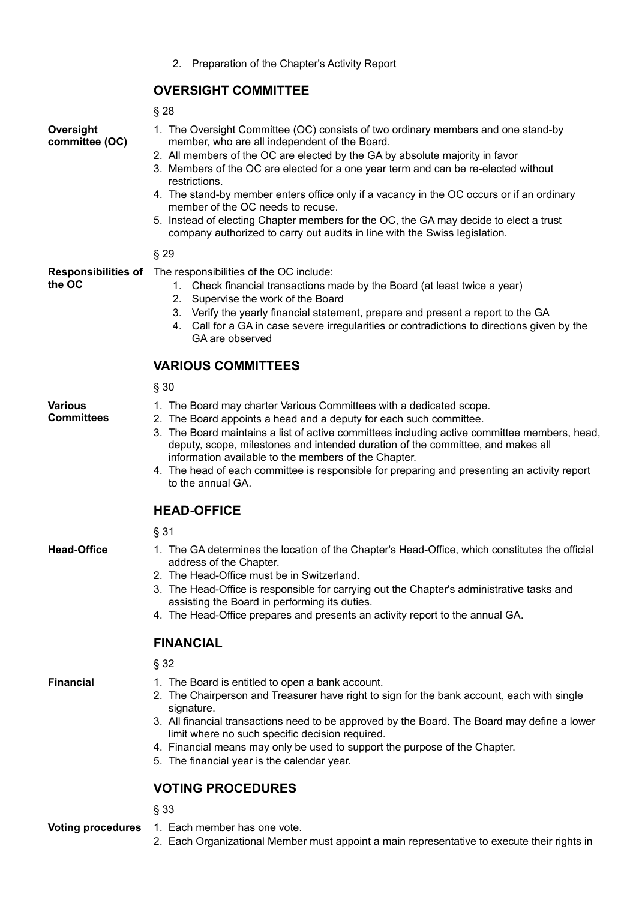2. Preparation of the Chapter's Activity Report

#### **OVERSIGHT COMMITTEE**

#### <span id="page-4-2"></span>§ 28

**Oversight committee (OC)**

- 1. The Oversight Committee (OC) consists of two ordinary members and one stand-by member, who are all independent of the Board.
- 2. All members of the OC are elected by the GA by absolute majority in favor
- 3. Members of the OC are elected for a one year term and can be re-elected without restrictions.
- 4. The stand-by member enters office only if a vacancy in the OC occurs or if an ordinary member of the OC needs to recuse.
- 5. Instead of electing Chapter members for the OC, the GA may decide to elect a trust company authorized to carry out audits in line with the Swiss legislation.

#### § 29

**Responsibilities of**  The responsibilities of the OC include: **the OC**

- 1. Check financial transactions made by the Board (at least twice a year)
- 2. Supervise the work of the Board
- 3. Verify the yearly financial statement, prepare and present a report to the GA
- 4. Call for a GA in case severe irregularities or contradictions to directions given by the GA are observed

### **VARIOUS COMMITTEES**

<span id="page-4-1"></span>§ 30

#### **Various Committees**

- 1. The Board may charter Various Committees with a dedicated scope.
- 2. The Board appoints a head and a deputy for each such committee. 3. The Board maintains a list of active committees including active committee members, head,
	- deputy, scope, milestones and intended duration of the committee, and makes all information available to the members of the Chapter.
- 4. The head of each committee is responsible for preparing and presenting an activity report to the annual GA.

### **HEAD-OFFICE**

#### <span id="page-4-0"></span>§ 31

- **Head-Office** 1. The GA determines the location of the Chapter's Head-Office, which constitutes the official address of the Chapter.
	- 2. The Head-Office must be in Switzerland.
	- 3. The Head-Office is responsible for carrying out the Chapter's administrative tasks and assisting the Board in performing its duties.
	- 4. The Head-Office prepares and presents an activity report to the annual GA.

#### **FINANCIAL**

§ 32

- 
- **Financial** 1. The Board is entitled to open a bank account.
	- 2. The Chairperson and Treasurer have right to sign for the bank account, each with single signature.
	- 3. All financial transactions need to be approved by the Board. The Board may define a lower limit where no such specific decision required.
	- 4. Financial means may only be used to support the purpose of the Chapter.
	- 5. The financial year is the calendar year.

### **VOTING PROCEDURES**

§ 33

- **Voting procedures** 1. Each member has one vote.
	- 2. Each Organizational Member must appoint a main representative to execute their rights in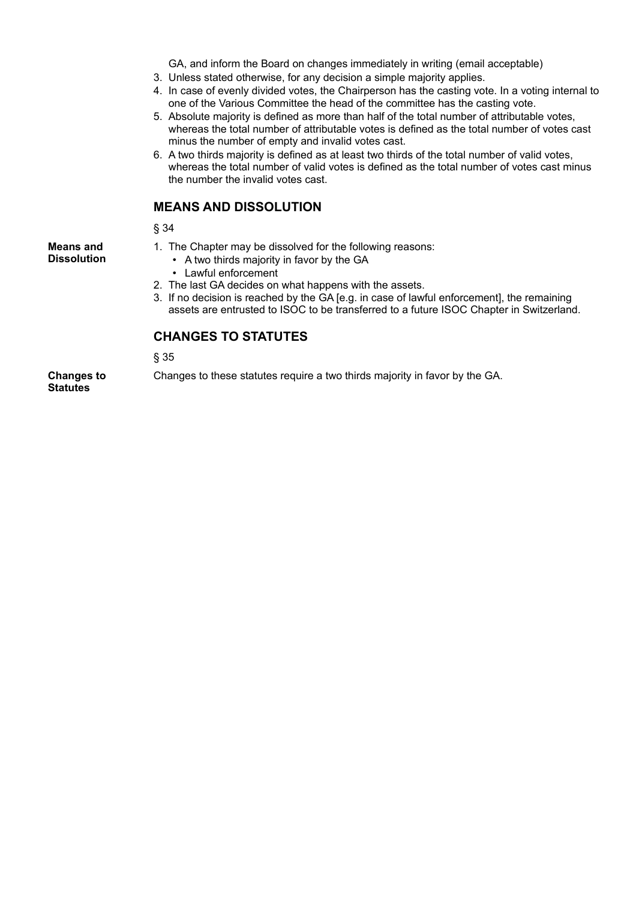GA, and inform the Board on changes immediately in writing (email acceptable)

- 3. Unless stated otherwise, for any decision a simple majority applies.
- 4. In case of evenly divided votes, the Chairperson has the casting vote. In a voting internal to one of the Various Committee the head of the committee has the casting vote.
- 5. Absolute majority is defined as more than half of the total number of attributable votes, whereas the total number of attributable votes is defined as the total number of votes cast minus the number of empty and invalid votes cast.
- 6. A two thirds majority is defined as at least two thirds of the total number of valid votes, whereas the total number of valid votes is defined as the total number of votes cast minus the number the invalid votes cast.

#### **MEANS AND DISSOLUTION**

§ 34

**Means and Dissolution**

- 1. The Chapter may be dissolved for the following reasons:
	- A two thirds majority in favor by the GA
	- Lawful enforcement
- 2. The last GA decides on what happens with the assets.
- 3. If no decision is reached by the GA [e.g. in case of lawful enforcement], the remaining assets are entrusted to ISOC to be transferred to a future ISOC Chapter in Switzerland.

#### **CHANGES TO STATUTES**

§ 35

**Changes to Statutes**

Changes to these statutes require a two thirds majority in favor by the GA.